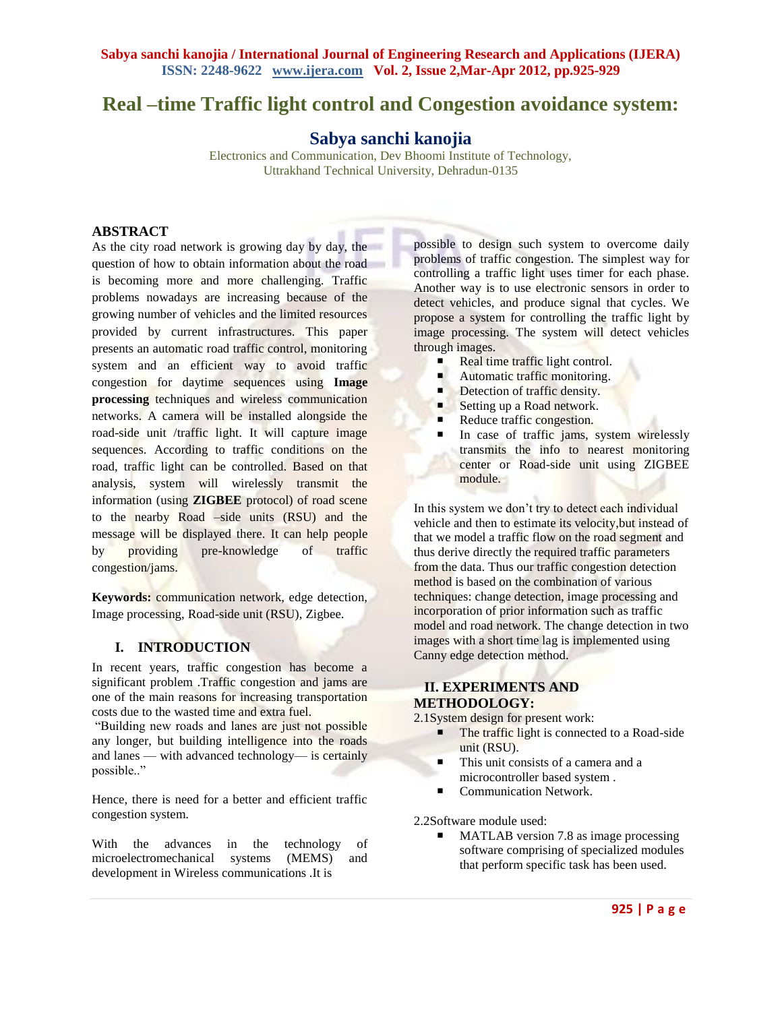# **Real –time Traffic light control and Congestion avoidance system:**

**Sabya sanchi kanojia**

Electronics and Communication, Dev Bhoomi Institute of Technology, Uttrakhand Technical University, Dehradun-0135

### **ABSTRACT**

As the city road network is growing day by day, the question of how to obtain information about the road is becoming more and more challenging. Traffic problems nowadays are increasing because of the growing number of vehicles and the limited resources provided by current infrastructures. This paper presents an automatic road traffic control, monitoring system and an efficient way to avoid traffic congestion for daytime sequences using **Image processing** techniques and wireless communication networks. A camera will be installed alongside the road-side unit /traffic light. It will capture image sequences. According to traffic conditions on the road, traffic light can be controlled. Based on that analysis, system will wirelessly transmit the information (using **ZIGBEE** protocol) of road scene to the nearby Road –side units (RSU) and the message will be displayed there. It can help people by providing pre-knowledge of traffic congestion/jams.

**Keywords:** communication network, edge detection, Image processing, Road-side unit (RSU), Zigbee.

#### **I. INTRODUCTION**

In recent years, traffic congestion has become a significant problem .Traffic congestion and jams are one of the main reasons for increasing transportation costs due to the wasted time and extra fuel.

―Building new roads and lanes are just not possible any longer, but building intelligence into the roads and lanes — with advanced technology— is certainly possible.."

Hence, there is need for a better and efficient traffic congestion system.

With the advances in the technology of microelectromechanical systems (MEMS) and development in Wireless communications .It is

possible to design such system to overcome daily problems of traffic congestion. The simplest way for controlling a traffic light uses timer for each phase. Another way is to use electronic sensors in order to detect vehicles, and produce signal that cycles. We propose a system for controlling the traffic light by image processing. The system will detect vehicles through images.

- Real time traffic light control.
- Automatic traffic monitoring.
- Detection of traffic density.
- Setting up a Road network.
- Reduce traffic congestion.
- In case of traffic jams, system wirelessly transmits the info to nearest monitoring center or Road-side unit using ZIGBEE module.

In this system we don't try to detect each individual vehicle and then to estimate its velocity,but instead of that we model a traffic flow on the road segment and thus derive directly the required traffic parameters from the data. Thus our traffic congestion detection method is based on the combination of various techniques: change detection, image processing and incorporation of prior information such as traffic model and road network. The change detection in two images with a short time lag is implemented using Canny edge detection method.

#### **II. EXPERIMENTS AND METHODOLOGY:**

2.1System design for present work:

- The traffic light is connected to a Road-side unit (RSU).
- This unit consists of a camera and a microcontroller based system .
- Communication Network.

2.2Software module used:

■ MATLAB version 7.8 as image processing software comprising of specialized modules that perform specific task has been used.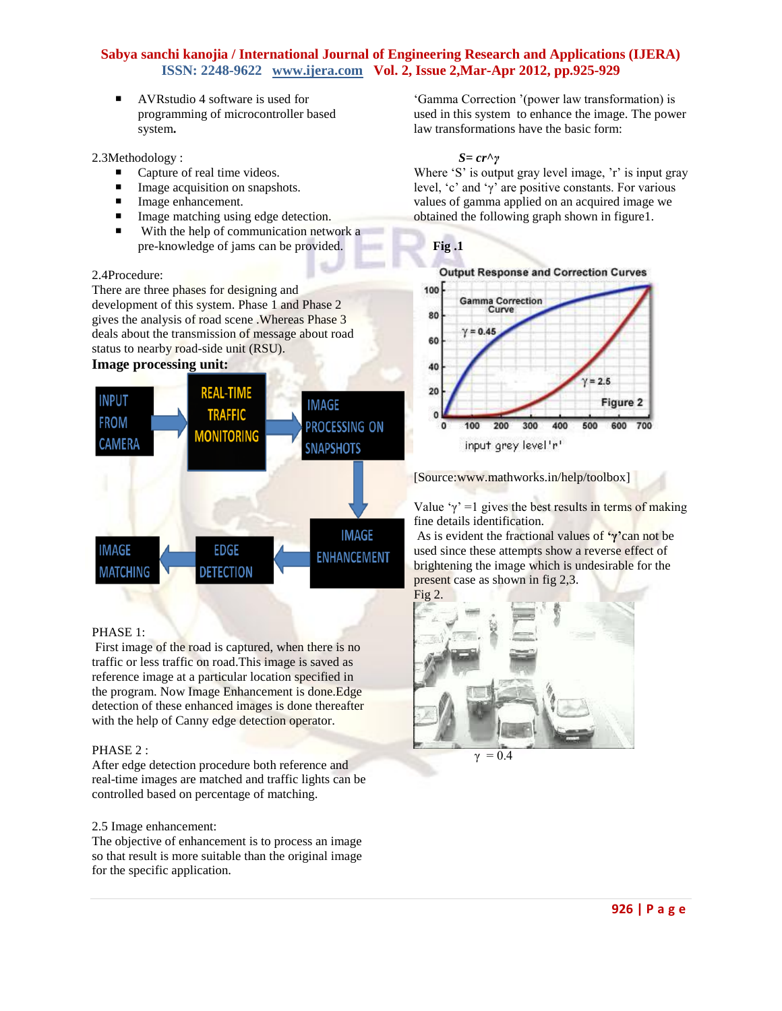AVRstudio 4 software is used for programming of microcontroller based system**.** 

2.3Methodology :

- Capture of real time videos.
- Image acquisition on snapshots.
- Image enhancement.
- **Image matching using edge detection.**
- With the help of communication network a pre-knowledge of jams can be provided.

#### 2.4Procedure:

There are three phases for designing and development of this system. Phase 1 and Phase 2 gives the analysis of road scene .Whereas Phase 3 deals about the transmission of message about road status to nearby road-side unit (RSU).

## **Image processing unit:**



#### PHASE 1:

First image of the road is captured, when there is no traffic or less traffic on road.This image is saved as reference image at a particular location specified in the program. Now Image Enhancement is done.Edge detection of these enhanced images is done thereafter with the help of Canny edge detection operator.

#### PHASE 2 :

After edge detection procedure both reference and real-time images are matched and traffic lights can be controlled based on percentage of matching.

#### 2.5 Image enhancement:

The objective of enhancement is to process an image so that result is more suitable than the original image for the specific application.

‗Gamma Correction '(power law transformation) is used in this system to enhance the image. The power law transformations have the basic form:

#### *S= cr***^***γ*

Where 'S' is output gray level image, 'r' is input gray level, ‗c' and ‗γ' are positive constants. For various values of gamma applied on an acquired image we obtained the following graph shown in figure1.





[Source:www.mathworks.in/help/toolbox]

Value  $\gamma$ ' =1 gives the best results in terms of making fine details identification.

As is evident the fractional values of **'γ'**can not be used since these attempts show a reverse effect of brightening the image which is undesirable for the present case as shown in fig 2,3.

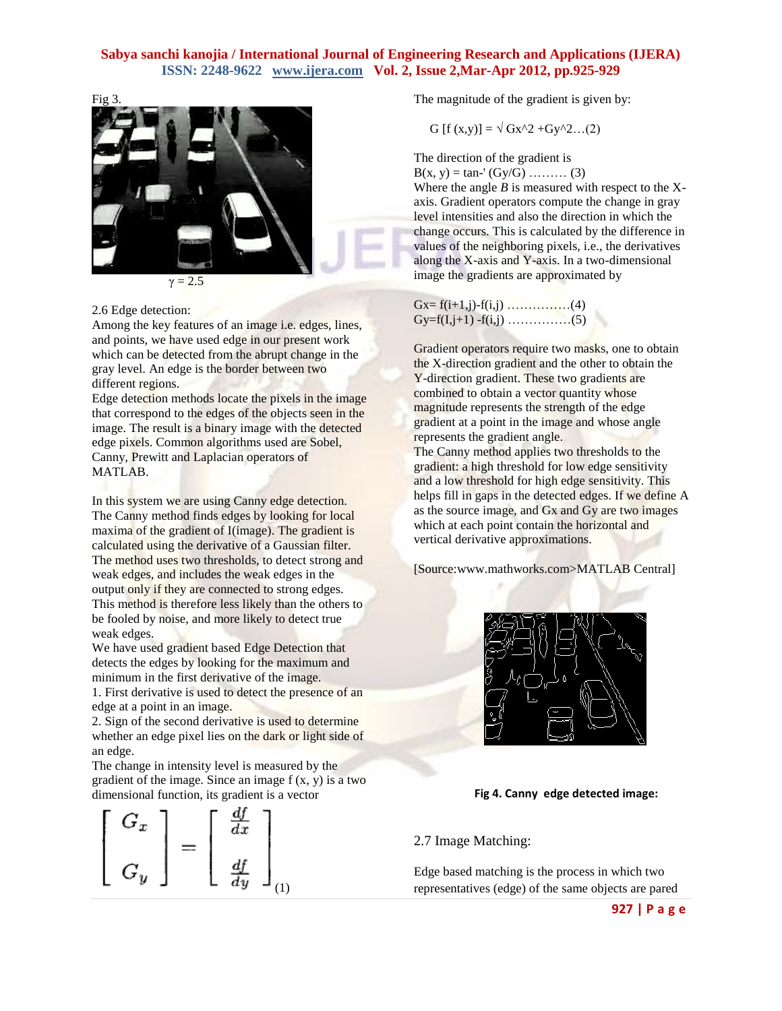

#### 2.6 Edge detection:

Among the key features of an image i.e. edges, lines, and points, we have used edge in our present work which can be detected from the abrupt change in the gray level. An edge is the border between two different regions.

Edge detection methods locate the pixels in the image that correspond to the edges of the objects seen in the image. The result is a binary image with the detected edge pixels. Common algorithms used are Sobel, Canny, Prewitt and Laplacian operators of MATLAB.

In this system we are using Canny edge detection. The Canny method finds edges by looking for local maxima of the gradient of I(image). The gradient is calculated using the derivative of a Gaussian filter. The method uses two thresholds, to detect strong and weak edges, and includes the weak edges in the output only if they are connected to strong edges. This method is therefore less likely than the others to be fooled by noise, and more likely to detect true weak edges.

We have used gradient based Edge Detection that detects the edges by looking for the maximum and minimum in the first derivative of the image. 1. First derivative is used to detect the presence of an

edge at a point in an image. 2. Sign of the second derivative is used to determine

whether an edge pixel lies on the dark or light side of an edge. The change in intensity level is measured by the

gradient of the image. Since an image  $f(x, y)$  is a two dimensional function, its gradient is a vector



The magnitude of the gradient is given by:

G  $[f(x,y)] = \sqrt{Gx^2 + Gy^2}$ ...(2)

The direction of the gradient is  $B(x, y) = \tan^{-1}(Gy/G)$  ……… (3)

Where the angle  $B$  is measured with respect to the  $X$ axis. Gradient operators compute the change in gray level intensities and also the direction in which the change occurs. This is calculated by the difference in values of the neighboring pixels, i.e., the derivatives along the X-axis and Y-axis. In a two-dimensional image the gradients are approximated by

| $Gx = f(i+1,j) - f(i,j) \dots (4)$ |  |
|------------------------------------|--|
|                                    |  |

Gradient operators require two masks, one to obtain the X-direction gradient and the other to obtain the Y-direction gradient. These two gradients are combined to obtain a vector quantity whose magnitude represents the strength of the edge gradient at a point in the image and whose angle represents the gradient angle.

The Canny method applies two thresholds to the gradient: a high threshold for low edge sensitivity and a low threshold for high edge sensitivity. This helps fill in gaps in the detected edges. If we define A as the source image, and Gx and Gy are two images which at each point contain the horizontal and vertical derivative approximations.

[Source:www.mathworks.com>MATLAB Central]



#### **Fig 4. Canny edge detected image:**

2.7 Image Matching:

Edge based matching is the process in which two representatives (edge) of the same objects are pared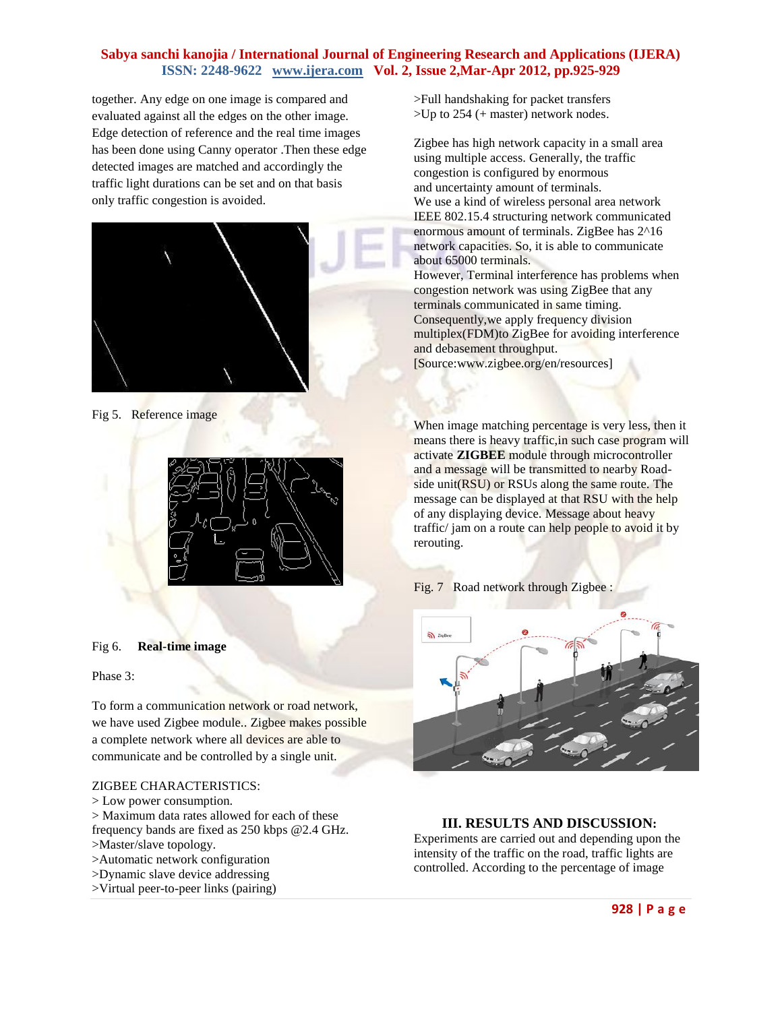together. Any edge on one image is compared and evaluated against all the edges on the other image. Edge detection of reference and the real time images has been done using Canny operator .Then these edge detected images are matched and accordingly the traffic light durations can be set and on that basis only traffic congestion is avoided.



#### Fig 5. Reference image



#### Fig 6. **Real-time image**

Phase 3:

To form a communication network or road network, we have used Zigbee module.. Zigbee makes possible a complete network where all devices are able to communicate and be controlled by a single unit.

#### ZIGBEE CHARACTERISTICS:

- > Low power consumption.
- > Maximum data rates allowed for each of these frequency bands are fixed as 250 kbps @2.4 GHz.
- >Master/slave topology.
- >Automatic network configuration
- >Dynamic slave device addressing
- >Virtual peer-to-peer links (pairing)

>Full handshaking for packet transfers >Up to 254 (+ master) network nodes.

Zigbee has high network capacity in a small area using multiple access. Generally, the traffic congestion is configured by enormous and uncertainty amount of terminals. We use a kind of wireless personal area network IEEE 802.15.4 structuring network communicated enormous amount of terminals. ZigBee has 2^16 network capacities. So, it is able to communicate about 65000 terminals.

However, Terminal interference has problems when congestion network was using ZigBee that any terminals communicated in same timing. Consequently,we apply frequency division multiplex(FDM)to ZigBee for avoiding interference and debasement throughput. [Source:www.zigbee.org/en/resources]

When image matching percentage is very less, then it means there is heavy traffic, in such case program will activate **ZIGBEE** module through microcontroller and a message will be transmitted to nearby Roadside unit(RSU) or RSUs along the same route. The message can be displayed at that RSU with the help of any displaying device. Message about heavy traffic/ jam on a route can help people to avoid it by rerouting.

Fig. 7 Road network through Zigbee :



#### **III. RESULTS AND DISCUSSION:**

Experiments are carried out and depending upon the intensity of the traffic on the road, traffic lights are controlled. According to the percentage of image